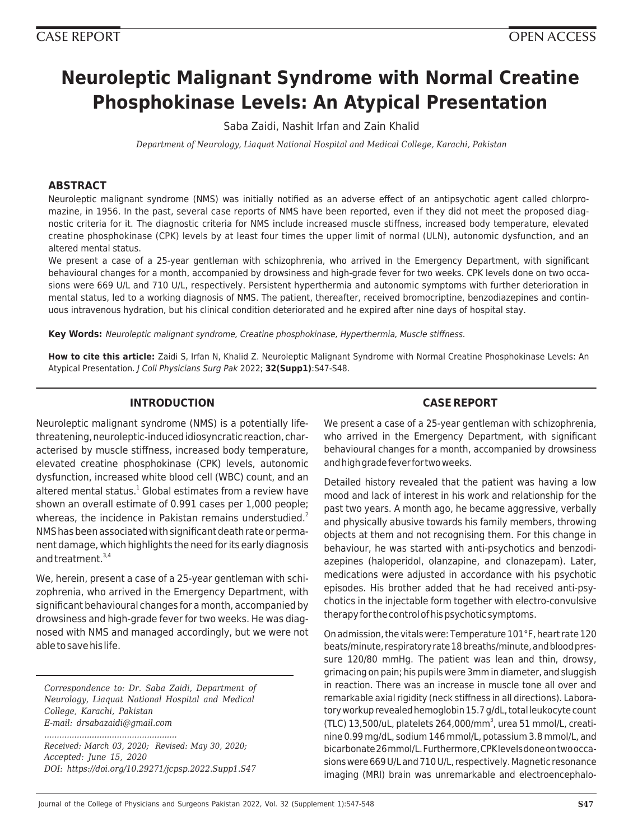# **Neuroleptic Malignant Syndrome with Normal Creatine Phosphokinase Levels: An Atypical Presentation**

Saba Zaidi, Nashit Irfan and Zain Khalid

*Department of Neurology, Liaquat National Hospital and Medical College, Karachi, Pakistan*

# **ABSTRACT**

Neuroleptic malignant syndrome (NMS) was initially notified as an adverse effect of an antipsychotic agent called chlorpromazine, in 1956. In the past, several case reports of NMS have been reported, even if they did not meet the proposed diagnostic criteria for it. The diagnostic criteria for NMS include increased muscle stiffness, increased body temperature, elevated creatine phosphokinase (CPK) levels by at least four times the upper limit of normal (ULN), autonomic dysfunction, and an altered mental status.

We present a case of a 25-year gentleman with schizophrenia, who arrived in the Emergency Department, with significant behavioural changes for a month, accompanied by drowsiness and high-grade fever for two weeks. CPK levels done on two occasions were 669 U/L and 710 U/L, respectively. Persistent hyperthermia and autonomic symptoms with further deterioration in mental status, led to a working diagnosis of NMS. The patient, thereafter, received bromocriptine, benzodiazepines and continuous intravenous hydration, but his clinical condition deteriorated and he expired after nine days of hospital stay.

**Key Words:** Neuroleptic malignant syndrome, Creatine phosphokinase, Hyperthermia, Muscle stiffness.

**How to cite this article:** Zaidi S, Irfan N, Khalid Z. Neuroleptic Malignant Syndrome with Normal Creatine Phosphokinase Levels: An Atypical Presentation. J Coll Physicians Surg Pak 2022; **32(Supp1)**:S47-S48.

# **INTRODUCTION**

Neuroleptic malignant syndrome (NMS) is a potentially lifethreatening, neuroleptic-induced idiosyncratic reaction, characterised by muscle stiffness, increased body temperature, elevated creatine phosphokinase (CPK) levels, autonomic dysfunction, increased white blood cell (WBC) count, and an altered mental status.<sup>1</sup> Global estimates from a review have shown an overall estimate of 0.991 cases per 1,000 people; whereas, the incidence in Pakistan remains understudied.<sup>2</sup> NMS has been associated with significant death rate or permanent damage, which highlights the need for its early diagnosis and treatment. $3,4$ 

We, herein, present a case of a 25-year gentleman with schizophrenia, who arrived in the Emergency Department, with significant behavioural changes for a month, accompanied by drowsiness and high-grade fever for two weeks. He was diagnosed with NMS and managed accordingly, but we were not able to save his life.

*Correspondence to: Dr. Saba Zaidi, Department of Neurology, Liaquat National Hospital and Medical College, Karachi, Pakistan E-mail: drsabazaidi@gmail.com*

*..................................................... Received: March 03, 2020; Revised: May 30, 2020; Accepted: June 15, 2020 DOI: https://doi.org/10.29271/jcpsp.2022.Supp1.S47*

# **CASE REPORT**

We present a case of a 25-year gentleman with schizophrenia, who arrived in the Emergency Department, with significant behavioural changes for a month, accompanied by drowsiness and high grade fever for two weeks.

Detailed history revealed that the patient was having a low mood and lack of interest in his work and relationship for the past two years. A month ago, he became aggressive, verbally and physically abusive towards his family members, throwing objects at them and not recognising them. For this change in behaviour, he was started with anti-psychotics and benzodiazepines (haloperidol, olanzapine, and clonazepam). Later, medications were adjusted in accordance with his psychotic episodes. His brother added that he had received anti-psychotics in the injectable form together with electro-convulsive therapy for the control of his psychotic symptoms.

On admission, the vitals were: Temperature 101°F, heart rate 120 beats/minute, respiratory rate 18 breaths/minute, and blood pressure 120/80 mmHg. The patient was lean and thin, drowsy, grimacing on pain; his pupils were 3mm in diameter, and sluggish in reaction. There was an increase in muscle tone all over and remarkable axial rigidity (neck stiffness in all directions). Laboratory workup revealed hemoglobin 15.7 g/dL, total leukocyte count (TLC) 13,500/uL, platelets 264,000/mm<sup>3</sup>, urea 51 mmol/L, creatinine 0.99 mg/dL, sodium 146 mmol/L, potassium 3.8 mmol/L, and bicarbonate 26 mmol/L. Furthermore, CPK levels done on two occasions were 669 U/L and 710 U/L, respectively. Magnetic resonance imaging (MRI) brain was unremarkable and electroencephalo